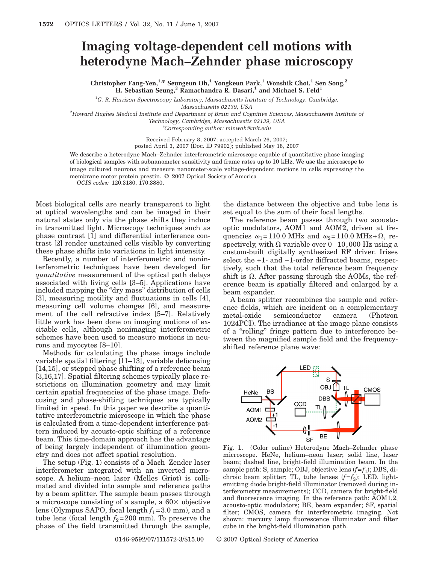## **Imaging voltage-dependent cell motions with heterodyne Mach–Zehnder phase microscopy**

**Christopher Fang-Yen,1,\* Seungeun Oh,1 Yongkeun Park,1 Wonshik Choi,1 Sen Song,2 H. Sebastian Seung,2 Ramachandra R. Dasari,1 and Michael S. Feld1**

1 *G. R. Harrison Spectroscopy Laboratory, Massachusetts Institute of Technology, Cambridge,*

*Massachusetts 02139, USA* 2 *Howard Hughes Medical Institute and Department of Brain and Cognitive Sciences, Massachusetts Institute of*

*Technology, Cambridge, Massachusetts 02139, USA*

\**Corresponding author: minwah@mit.edu*

Received February 8, 2007; accepted March 26, 2007; posted April 3, 2007 (Doc. ID 79902); published May 18, 2007

We describe a heterodyne Mach–Zehnder interferometric microscope capable of quantitative phase imaging of biological samples with subnanometer sensitivity and frame rates up to 10 kHz. We use the microscope to image cultured neurons and measure nanometer-scale voltage-dependent motions in cells expressing the membrane motor protein prestin. © 2007 Optical Society of America

*OCIS codes:* 120.3180, 170.3880.

Most biological cells are nearly transparent to light at optical wavelengths and can be imaged in their natural states only via the phase shifts they induce in transmitted light. Microscopy techniques such as phase contrast [1] and differential interference contrast [2] render unstained cells visible by converting these phase shifts into variations in light intensity.

Recently, a number of interferometric and noninterferometric techniques have been developed for *quantitative* measurement of the optical path delays associated with living cells [3–5]. Applications have included mapping the "dry mass" distribution of cells [3], measuring motility and fluctuations in cells [4], measuring cell volume changes [6], and measurement of the cell refractive index [5–7]. Relatively little work has been done on imaging motions of excitable cells, although nonimaging interferometric schemes have been used to measure motions in neurons and myocytes [8–10].

Methods for calculating the phase image include variable spatial filtering [11–13], variable defocusing [14,15], or stepped phase shifting of a reference beam [3,16,17]. Spatial filtering schemes typically place restrictions on illumination geometry and may limit certain spatial frequencies of the phase image. Defocusing and phase-shifting techniques are typically limited in speed. In this paper we describe a quantitative interferometric microscope in which the phase is calculated from a time-dependent interference pattern induced by acousto-optic shifting of a reference beam. This time-domain approach has the advantage of being largely independent of illumination geometry and does not affect spatial resolution.

The setup (Fig. 1) consists of a Mach–Zender laser interferometer integrated with an inverted microscope. A helium–neon laser (Melles Griot) is collimated and divided into sample and reference paths by a beam splitter. The sample beam passes through a microscope consisting of a sample, a  $60 \times$  objective lens (Olympus SAPO, focal length  $f_1 = 3.0$  mm), and a tube lens (focal length  $f_2$ =200 mm). To preserve the phase of the field transmitted through the sample,

0146-9592/07/111572-3/\$15.00 © 2007 Optical Society of America

The reference beam passes through two acoustooptic modulators, AOM1 and AOM2, driven at fre-

the distance between the objective and tube lens is

set equal to the sum of their focal lengths.

quencies  $\omega_1 = 110.0 \text{ MHz}$  and  $\omega_2 = 110.0 \text{ MHz} + \Omega$ , respectively, with  $\Omega$  variable over 0–10,000 Hz using a custom-built digitally synthesized RF driver. Irises select the +1- and -1-order diffracted beams, respectively, such that the total reference beam frequency shift is  $\Omega$ . After passing through the AOMs, the reference beam is spatially filtered and enlarged by a beam expander.

A beam splitter recombines the sample and reference fields, which are incident on a complementary metal-oxide semiconductor camera (Photron 1024PCI). The irradiance at the image plane consists of a "rolling" fringe pattern due to interference between the magnified sample field and the frequencyshifted reference plane wave:



Fig. 1. (Color online) Heterodyne Mach–Zehnder phase microscope. HeNe, helium–neon laser; solid line, laser beam; dashed line, bright-field illumination beam. In the sample path: S, sample; OBJ, objective lens  $(f = f_1)$ ; DBS, dichroic beam splitter; TL, tube lenses  $(f = f_2)$ ; LED, lightemitting diode bright-field illuminator (removed during interferometry measurements); CCD, camera for bright-field and fluorescence imaging. In the reference path: AOM1,2, acousto-optic modulators; BE, beam expander; SF, spatial filter; CMOS, camera for interferometric imaging. Not shown: mercury lamp fluorescence illuminator and filter cube in the bright-field illumination path.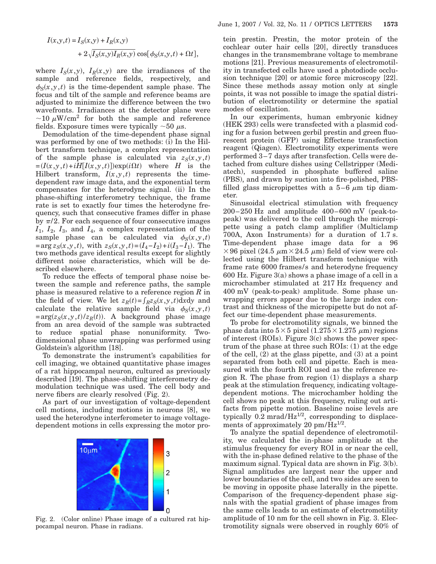$$
I(x,y,t) = I_S(x,y) + I_R(x,y)
$$
  
+  $2\sqrt{I_S(x,y)I_R(x,y)}$  cos[ $\phi_S(x,y,t)$  +  $\Omega t$ ],

where  $I_S(x,y)$ ,  $I_R(x,y)$  are the irradiances of the sample and reference fields, respectively, and  $\phi_S(x, y, t)$  is the time-dependent sample phase. The focus and tilt of the sample and reference beams are adjusted to minimize the difference between the two wavefronts. Irradiances at the detector plane were  $\sim$ 10  $\mu$ W/cm<sup>2</sup> for both the sample and reference fields. Exposure times were typically  $\sim 50 \mu s$ .

Demodulation of the time-dependent phase signal was performed by one of two methods: (i) In the Hilbert transform technique, a complex representation of the sample phase is calculated via  $z_S(x,y,t)$  $= (I(x, y, t) + iH[I(x, y, t)]) \exp(i\Omega t)$  where *H* is the Hilbert transform,  $I(x, y, t)$  represents the timedependent raw image data, and the exponential term compensates for the heterodyne signal. (ii) In the phase-shifting interferometry technique, the frame rate is set to exactly four times the heterodyne frequency, such that consecutive frames differ in phase by  $\pi/2$ . For each sequence of four consecutive images *I*1, *I*2, *I*3, and *I*4, a complex representation of the sample phase can be calculated via  $\phi_S(x,y,t)$  $= \arg z_S(x, y, t)$ , with  $z_S(x, y, t) = (I_4 - I_2) + i(I_3 - I_1)$ . The two methods gave identical results except for slightly different noise characteristics, which will be described elsewhere.

To reduce the effects of temporal phase noise between the sample and reference paths, the sample phase is measured relative to a reference region *R* in the field of view. We let  $z_R(t) = \int_R z_S(x, y, t) \, dx \, dy$  and calculate the relative sample field via  $\phi_S(x,y,t)$  $= \arg(z_S(x, y, t)/z_R(t))$ . A background phase image from an area devoid of the sample was subtracted to reduce spatial phase nonuniformity. Twodimensional phase unwrapping was performed using Goldstein's algorithm [18].

To demonstrate the instrument's capabilities for cell imaging, we obtained quantitative phase images of a rat hippocampal neuron, cultured as previously described [19]. The phase-shifting interferometry demodulation technique was used. The cell body and nerve fibers are clearly resolved (Fig. 2).

As part of our investigation of voltage-dependent cell motions, including motions in neurons [8], we used the heterodyne interferometer to image voltagedependent motions in cells expressing the motor pro-



Fig. 2. (Color online) Phase image of a cultured rat hippocampal neuron. Phase in radians.

tein prestin. Prestin, the motor protein of the cochlear outer hair cells [20], directly transduces changes in the transmembrane voltage to membrane motions [21]. Previous measurements of electromotility in transfected cells have used a photodiode occlusion technique [20] or atomic force microscopy [22]. Since these methods assay motion only at single points, it was not possible to image the spatial distribution of electromotility or determine the spatial modes of oscillation.

In our experiments, human embryonic kidney (HEK 293) cells were transfected with a plasmid coding for a fusion between gerbil prestin and green fluorescent protein (GFP) using Effectene transfection reagent (Qiagen). Electromotility experiments were performed 3–7 days after transfection. Cells were detached from culture dishes using Cellstripper (Mediatech), suspended in phosphate buffered saline (PBS), and drawn by suction into fire-polished, PBSfilled glass micropipettes with a  $5-6 \mu m$  tip diameter.

Sinusoidal electrical stimulation with frequency 200–250 Hz and amplitude 400–600 mV (peak-topeak) was delivered to the cell through the micropipette using a patch clamp amplifier (Multiclamp 700A, Axon Instruments) for a duration of 1.7 s. Time-dependent phase image data for a 96  $\times$  96 pixel (24.5  $\mu$ m $\times$  24.5  $\mu$ m) field of view were collected using the Hilbert transform technique with frame rate 6000 frames/s and heterodyne frequency 600 Hz. Figure 3(a) shows a phase image of a cell in a microchamber stimulated at 217 Hz frequency and 400 mV (peak-to-peak) amplitude. Some phase unwrapping errors appear due to the large index contrast and thickness of the micropipette but do not affect our time-dependent phase measurements.

To probe for electromotility signals, we binned the phase data into  $5\times 5$  pixel  $(1.275\times 1.275 \ \mu \text{m})$  regions of interest (ROIs). Figure 3(c) shows the power spectrum of the phase at three such ROIs: (1) at the edge of the cell, (2) at the glass pipette, and (3) at a point separated from both cell and pipette. Each is measured with the fourth ROI used as the reference region R. The phase from region (1) displays a sharp peak at the stimulation frequency, indicating voltagedependent motions. The microchamber holding the cell shows no peak at this frequency, ruling out artifacts from pipette motion. Baseline noise levels are typically  $0.2 \text{ mrad/Hz}^{1/2}$ , corresponding to displacements of approximately 20  $\text{pm/Hz}^{1/2}$ .

To analyze the spatial dependence of electromotility, we calculated the in-phase amplitude at the stimulus frequency for every ROI in or near the cell, with the in-phase defined relative to the phase of the maximum signal. Typical data are shown in Fig. 3(b). Signal amplitudes are largest near the upper and lower boundaries of the cell, and two sides are seen to be moving in opposite phase laterally in the pipette. Comparison of the frequency-dependent phase signals with the spatial gradient of phase images from the same cells leads to an estimate of electromotility amplitude of 10 nm for the cell shown in Fig. 3. Electromotility signals were observed in roughly 60% of